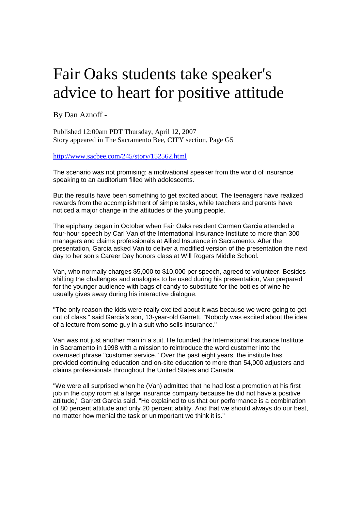## Fair Oaks students take speaker's advice to heart for positive attitude

By Dan Aznoff -

Published 12:00am PDT Thursday, April 12, 2007 Story appeared in The Sacramento Bee, CITY section, Page G5

http://www.sacbee.com/245/story/152562.html

The scenario was not promising: a motivational speaker from the world of insurance speaking to an auditorium filled with adolescents.

But the results have been something to get excited about. The teenagers have realized rewards from the accomplishment of simple tasks, while teachers and parents have noticed a major change in the attitudes of the young people.

The epiphany began in October when Fair Oaks resident Carmen Garcia attended a four-hour speech by Carl Van of the International Insurance Institute to more than 300 managers and claims professionals at Allied Insurance in Sacramento. After the presentation, Garcia asked Van to deliver a modified version of the presentation the next day to her son's Career Day honors class at Will Rogers Middle School.

Van, who normally charges \$5,000 to \$10,000 per speech, agreed to volunteer. Besides shifting the challenges and analogies to be used during his presentation, Van prepared for the younger audience with bags of candy to substitute for the bottles of wine he usually gives away during his interactive dialogue.

"The only reason the kids were really excited about it was because we were going to get out of class," said Garcia's son, 13-year-old Garrett. "Nobody was excited about the idea of a lecture from some guy in a suit who sells insurance."

Van was not just another man in a suit. He founded the International Insurance Institute in Sacramento in 1998 with a mission to reintroduce the word customer into the overused phrase "customer service." Over the past eight years, the institute has provided continuing education and on-site education to more than 54,000 adjusters and claims professionals throughout the United States and Canada.

"We were all surprised when he (Van) admitted that he had lost a promotion at his first job in the copy room at a large insurance company because he did not have a positive attitude," Garrett Garcia said. "He explained to us that our performance is a combination of 80 percent attitude and only 20 percent ability. And that we should always do our best, no matter how menial the task or unimportant we think it is."